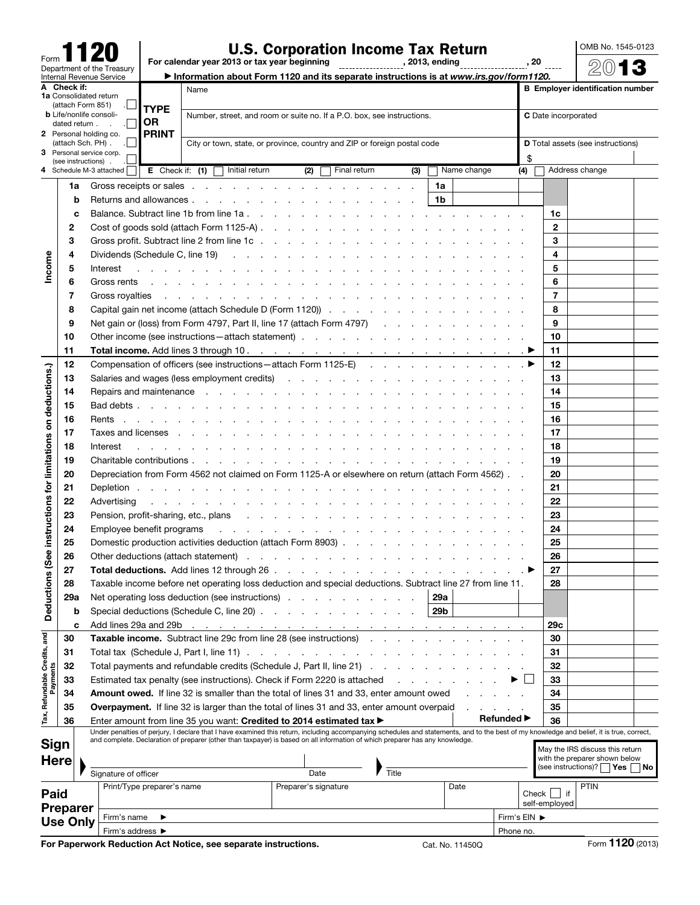| Form |                          |                            |
|------|--------------------------|----------------------------|
|      |                          | Department of the Treasury |
|      | Internal Revenue Service |                            |

## U.S. Corporation Income Tax Return<br>For calendar year 2013 or tax year beginning , 2013, ending , 2013, ending , 20

OMB No. 1545-0123 2013

▶ Information about Form 1120 and its separate instructions is at *www.irs.gov/form1120.*

|                                   | A Check if:                      | Name<br><b>1a</b> Consolidated return                                                                                     |                                                                                                                                                                                                                                               |                                                                                                                                                                                                                                                                                                                           |                                                                                                                                                                                                                                |                                                                                                                                                                                  |  |  |  |  |  |                                                                        |                      |              |    | <b>B</b> Employer identification number                                                                         |     |                 |                                                                 |                     |                                   |           |              |                                 |      |                  |  |  |
|-----------------------------------|----------------------------------|---------------------------------------------------------------------------------------------------------------------------|-----------------------------------------------------------------------------------------------------------------------------------------------------------------------------------------------------------------------------------------------|---------------------------------------------------------------------------------------------------------------------------------------------------------------------------------------------------------------------------------------------------------------------------------------------------------------------------|--------------------------------------------------------------------------------------------------------------------------------------------------------------------------------------------------------------------------------|----------------------------------------------------------------------------------------------------------------------------------------------------------------------------------|--|--|--|--|--|------------------------------------------------------------------------|----------------------|--------------|----|-----------------------------------------------------------------------------------------------------------------|-----|-----------------|-----------------------------------------------------------------|---------------------|-----------------------------------|-----------|--------------|---------------------------------|------|------------------|--|--|
|                                   | (attach Form 851)<br><b>TYPE</b> |                                                                                                                           |                                                                                                                                                                                                                                               |                                                                                                                                                                                                                                                                                                                           |                                                                                                                                                                                                                                |                                                                                                                                                                                  |  |  |  |  |  |                                                                        |                      |              |    |                                                                                                                 |     |                 |                                                                 |                     |                                   |           |              |                                 |      |                  |  |  |
|                                   |                                  | <b>b</b> Life/nonlife consoli-<br>dated return.                                                                           |                                                                                                                                                                                                                                               | OR                                                                                                                                                                                                                                                                                                                        |                                                                                                                                                                                                                                |                                                                                                                                                                                  |  |  |  |  |  | Number, street, and room or suite no. If a P.O. box, see instructions. |                      |              |    |                                                                                                                 |     |                 |                                                                 | C Date incorporated |                                   |           |              |                                 |      |                  |  |  |
|                                   |                                  |                                                                                                                           | 2 Personal holding co.                                                                                                                                                                                                                        | <b>PRINT</b>                                                                                                                                                                                                                                                                                                              |                                                                                                                                                                                                                                |                                                                                                                                                                                  |  |  |  |  |  |                                                                        |                      |              |    |                                                                                                                 |     |                 |                                                                 |                     |                                   |           |              |                                 |      |                  |  |  |
|                                   |                                  | City or town, state, or province, country and ZIP or foreign postal code<br>(attach Sch. PH).<br>3 Personal service corp. |                                                                                                                                                                                                                                               |                                                                                                                                                                                                                                                                                                                           |                                                                                                                                                                                                                                |                                                                                                                                                                                  |  |  |  |  |  |                                                                        |                      |              |    |                                                                                                                 |     |                 |                                                                 |                     | D Total assets (see instructions) |           |              |                                 |      |                  |  |  |
|                                   |                                  | (see instructions)                                                                                                        |                                                                                                                                                                                                                                               |                                                                                                                                                                                                                                                                                                                           |                                                                                                                                                                                                                                |                                                                                                                                                                                  |  |  |  |  |  |                                                                        |                      |              |    |                                                                                                                 |     |                 |                                                                 |                     |                                   |           | \$           |                                 |      |                  |  |  |
|                                   |                                  |                                                                                                                           | 4 Schedule M-3 attached                                                                                                                                                                                                                       | <b>E</b> Check if: $(1)$ $\Box$ Initial return                                                                                                                                                                                                                                                                            |                                                                                                                                                                                                                                |                                                                                                                                                                                  |  |  |  |  |  | (2)                                                                    |                      | Final return |    |                                                                                                                 | (3) |                 |                                                                 | Name change         |                                   |           | (4)          | Address change                  |      |                  |  |  |
|                                   | 1a                               |                                                                                                                           |                                                                                                                                                                                                                                               | Gross receipts or sales entering the contract of the contract of the contract of the contract of the contract of the contract of the contract of the contract of the contract of the contract of the contract of the contract                                                                                             |                                                                                                                                                                                                                                |                                                                                                                                                                                  |  |  |  |  |  |                                                                        |                      |              |    |                                                                                                                 |     | 1a              |                                                                 |                     |                                   |           |              |                                 |      |                  |  |  |
|                                   |                                  | 1b<br>b                                                                                                                   |                                                                                                                                                                                                                                               |                                                                                                                                                                                                                                                                                                                           |                                                                                                                                                                                                                                |                                                                                                                                                                                  |  |  |  |  |  |                                                                        |                      |              |    |                                                                                                                 |     |                 |                                                                 |                     |                                   |           |              |                                 |      |                  |  |  |
|                                   |                                  | c                                                                                                                         |                                                                                                                                                                                                                                               |                                                                                                                                                                                                                                                                                                                           |                                                                                                                                                                                                                                |                                                                                                                                                                                  |  |  |  |  |  |                                                                        |                      |              |    |                                                                                                                 |     |                 |                                                                 |                     |                                   |           |              | 1c                              |      |                  |  |  |
|                                   | 2                                |                                                                                                                           |                                                                                                                                                                                                                                               |                                                                                                                                                                                                                                                                                                                           |                                                                                                                                                                                                                                |                                                                                                                                                                                  |  |  |  |  |  |                                                                        |                      | $\mathbf{2}$ |    |                                                                                                                 |     |                 |                                                                 |                     |                                   |           |              |                                 |      |                  |  |  |
|                                   | 3                                |                                                                                                                           |                                                                                                                                                                                                                                               |                                                                                                                                                                                                                                                                                                                           |                                                                                                                                                                                                                                |                                                                                                                                                                                  |  |  |  |  |  |                                                                        |                      | 3            |    |                                                                                                                 |     |                 |                                                                 |                     |                                   |           |              |                                 |      |                  |  |  |
|                                   | 4                                |                                                                                                                           |                                                                                                                                                                                                                                               |                                                                                                                                                                                                                                                                                                                           |                                                                                                                                                                                                                                |                                                                                                                                                                                  |  |  |  |  |  |                                                                        |                      | 4            |    |                                                                                                                 |     |                 |                                                                 |                     |                                   |           |              |                                 |      |                  |  |  |
| Income                            | 5                                |                                                                                                                           | Interest                                                                                                                                                                                                                                      | والمناور والمناور والمناور والمناور والمناور والمناور والمناور والمناور والمناور والمناور والمناور والمناور                                                                                                                                                                                                               |                                                                                                                                                                                                                                |                                                                                                                                                                                  |  |  |  |  |  |                                                                        |                      |              |    |                                                                                                                 |     |                 |                                                                 |                     |                                   |           |              | 5                               |      |                  |  |  |
|                                   | 6                                |                                                                                                                           |                                                                                                                                                                                                                                               |                                                                                                                                                                                                                                                                                                                           |                                                                                                                                                                                                                                |                                                                                                                                                                                  |  |  |  |  |  |                                                                        |                      |              |    |                                                                                                                 |     |                 |                                                                 |                     |                                   |           |              | 6                               |      |                  |  |  |
|                                   | 7                                |                                                                                                                           | Gross royalties                                                                                                                                                                                                                               |                                                                                                                                                                                                                                                                                                                           |                                                                                                                                                                                                                                |                                                                                                                                                                                  |  |  |  |  |  |                                                                        |                      |              |    | the contract of the contract of the contract of the contract of the contract of the contract of the contract of |     |                 |                                                                 |                     |                                   |           |              | 7                               |      |                  |  |  |
|                                   | 8                                |                                                                                                                           |                                                                                                                                                                                                                                               |                                                                                                                                                                                                                                                                                                                           |                                                                                                                                                                                                                                |                                                                                                                                                                                  |  |  |  |  |  |                                                                        |                      |              |    |                                                                                                                 |     |                 |                                                                 |                     |                                   |           |              | 8                               |      |                  |  |  |
|                                   | 9                                |                                                                                                                           |                                                                                                                                                                                                                                               | Net gain or (loss) from Form 4797, Part II, line 17 (attach Form 4797)                                                                                                                                                                                                                                                    |                                                                                                                                                                                                                                |                                                                                                                                                                                  |  |  |  |  |  |                                                                        |                      |              |    |                                                                                                                 |     |                 |                                                                 |                     |                                   |           |              | 9                               |      |                  |  |  |
|                                   | 10                               |                                                                                                                           |                                                                                                                                                                                                                                               |                                                                                                                                                                                                                                                                                                                           |                                                                                                                                                                                                                                |                                                                                                                                                                                  |  |  |  |  |  |                                                                        |                      |              |    |                                                                                                                 |     |                 |                                                                 |                     |                                   |           |              | 10                              |      |                  |  |  |
|                                   | 11                               |                                                                                                                           |                                                                                                                                                                                                                                               |                                                                                                                                                                                                                                                                                                                           |                                                                                                                                                                                                                                |                                                                                                                                                                                  |  |  |  |  |  |                                                                        |                      |              |    |                                                                                                                 |     |                 |                                                                 |                     |                                   |           |              | 11                              |      |                  |  |  |
|                                   | 12                               |                                                                                                                           |                                                                                                                                                                                                                                               | Compensation of officers (see instructions – attach Form 1125-E) ▶                                                                                                                                                                                                                                                        |                                                                                                                                                                                                                                |                                                                                                                                                                                  |  |  |  |  |  |                                                                        |                      |              |    |                                                                                                                 |     |                 |                                                                 |                     |                                   |           |              | 12                              |      |                  |  |  |
|                                   | 13                               |                                                                                                                           |                                                                                                                                                                                                                                               |                                                                                                                                                                                                                                                                                                                           |                                                                                                                                                                                                                                |                                                                                                                                                                                  |  |  |  |  |  |                                                                        |                      |              |    |                                                                                                                 |     |                 |                                                                 |                     |                                   |           |              | 13                              |      |                  |  |  |
|                                   | 14                               |                                                                                                                           |                                                                                                                                                                                                                                               |                                                                                                                                                                                                                                                                                                                           |                                                                                                                                                                                                                                |                                                                                                                                                                                  |  |  |  |  |  |                                                                        |                      |              |    |                                                                                                                 |     |                 |                                                                 |                     |                                   |           |              | 14                              |      |                  |  |  |
| on deductions.)                   | 15                               |                                                                                                                           |                                                                                                                                                                                                                                               |                                                                                                                                                                                                                                                                                                                           |                                                                                                                                                                                                                                |                                                                                                                                                                                  |  |  |  |  |  |                                                                        |                      |              |    |                                                                                                                 |     |                 |                                                                 |                     |                                   |           |              | 15                              |      |                  |  |  |
|                                   | 16                               |                                                                                                                           |                                                                                                                                                                                                                                               |                                                                                                                                                                                                                                                                                                                           |                                                                                                                                                                                                                                |                                                                                                                                                                                  |  |  |  |  |  |                                                                        |                      |              |    |                                                                                                                 |     |                 |                                                                 |                     |                                   |           |              | 16                              |      |                  |  |  |
|                                   | 17                               |                                                                                                                           |                                                                                                                                                                                                                                               | Taxes and licenses entering the contract of the contract of the contract of the contract of the contract of the contract of the contract of the contract of the contract of the contract of the contract of the contract of th                                                                                            |                                                                                                                                                                                                                                |                                                                                                                                                                                  |  |  |  |  |  |                                                                        |                      |              |    |                                                                                                                 |     |                 |                                                                 |                     |                                   |           |              | 17                              |      |                  |  |  |
|                                   | 18                               |                                                                                                                           | Interest                                                                                                                                                                                                                                      | a construction of the construction of the construction of the construction of the construction of the construction of the construction of the construction of the construction of the construction of the construction of the                                                                                             |                                                                                                                                                                                                                                |                                                                                                                                                                                  |  |  |  |  |  |                                                                        |                      |              |    |                                                                                                                 |     |                 |                                                                 |                     |                                   |           |              | 18                              |      |                  |  |  |
| (See instructions for limitations | 19                               |                                                                                                                           | Depreciation from Form 4562 not claimed on Form 1125-A or elsewhere on return (attach Form 4562). .                                                                                                                                           |                                                                                                                                                                                                                                                                                                                           |                                                                                                                                                                                                                                |                                                                                                                                                                                  |  |  |  |  |  |                                                                        | 19<br>20             |              |    |                                                                                                                 |     |                 |                                                                 |                     |                                   |           |              |                                 |      |                  |  |  |
|                                   | 20                               |                                                                                                                           |                                                                                                                                                                                                                                               |                                                                                                                                                                                                                                                                                                                           |                                                                                                                                                                                                                                |                                                                                                                                                                                  |  |  |  |  |  |                                                                        |                      |              |    |                                                                                                                 |     |                 |                                                                 |                     |                                   |           |              | 21                              |      |                  |  |  |
|                                   | 21<br>22                         |                                                                                                                           |                                                                                                                                                                                                                                               |                                                                                                                                                                                                                                                                                                                           |                                                                                                                                                                                                                                |                                                                                                                                                                                  |  |  |  |  |  |                                                                        | 22                   |              |    |                                                                                                                 |     |                 |                                                                 |                     |                                   |           |              |                                 |      |                  |  |  |
|                                   | 23                               |                                                                                                                           | Advertising<br>and the contract of the contract of the contract of the contract of the contract of the contract of the contract of the contract of the contract of the contract of the contract of the contract of the contract of the contra |                                                                                                                                                                                                                                                                                                                           |                                                                                                                                                                                                                                |                                                                                                                                                                                  |  |  |  |  |  |                                                                        |                      | 23           |    |                                                                                                                 |     |                 |                                                                 |                     |                                   |           |              |                                 |      |                  |  |  |
|                                   | 24                               |                                                                                                                           |                                                                                                                                                                                                                                               |                                                                                                                                                                                                                                                                                                                           | Employee benefit programs                                                                                                                                                                                                      |                                                                                                                                                                                  |  |  |  |  |  |                                                                        |                      |              |    | 24                                                                                                              |     |                 |                                                                 |                     |                                   |           |              |                                 |      |                  |  |  |
|                                   | 25                               |                                                                                                                           |                                                                                                                                                                                                                                               |                                                                                                                                                                                                                                                                                                                           |                                                                                                                                                                                                                                | and a series of the contract of the contract of the contract of the contract of                                                                                                  |  |  |  |  |  |                                                                        |                      |              |    | 25                                                                                                              |     |                 |                                                                 |                     |                                   |           |              |                                 |      |                  |  |  |
|                                   | 26                               |                                                                                                                           |                                                                                                                                                                                                                                               |                                                                                                                                                                                                                                                                                                                           | Other deductions (attach statement) example and a series and a series of the statement of the statement of the statement of the statement of the statement of the statement of the statement of the statement of the statement |                                                                                                                                                                                  |  |  |  |  |  |                                                                        |                      |              |    | 26                                                                                                              |     |                 |                                                                 |                     |                                   |           |              |                                 |      |                  |  |  |
|                                   | 27                               |                                                                                                                           |                                                                                                                                                                                                                                               |                                                                                                                                                                                                                                                                                                                           |                                                                                                                                                                                                                                |                                                                                                                                                                                  |  |  |  |  |  |                                                                        |                      |              | 27 |                                                                                                                 |     |                 |                                                                 |                     |                                   |           |              |                                 |      |                  |  |  |
| tions                             | 28                               |                                                                                                                           | Taxable income before net operating loss deduction and special deductions. Subtract line 27 from line 11.                                                                                                                                     |                                                                                                                                                                                                                                                                                                                           |                                                                                                                                                                                                                                |                                                                                                                                                                                  |  |  |  |  |  |                                                                        |                      | 28           |    |                                                                                                                 |     |                 |                                                                 |                     |                                   |           |              |                                 |      |                  |  |  |
|                                   | 29a                              |                                                                                                                           | $\begin{array}{ccc} \cdot & \cdot & \cdot & \cdot \\ \cdot & \cdot & \cdot & \cdot \end{array}$ 29a<br>Net operating loss deduction (see instructions)                                                                                        |                                                                                                                                                                                                                                                                                                                           |                                                                                                                                                                                                                                |                                                                                                                                                                                  |  |  |  |  |  |                                                                        |                      |              |    |                                                                                                                 |     |                 |                                                                 |                     |                                   |           |              |                                 |      |                  |  |  |
| <b>Deduc</b>                      |                                  | b                                                                                                                         | Special deductions (Schedule C, line 20)<br>29b<br>Add lines 29a and 29b<br>the contract of the contract of the contract of the contract of the contract of the contract of the contract of                                                   |                                                                                                                                                                                                                                                                                                                           |                                                                                                                                                                                                                                |                                                                                                                                                                                  |  |  |  |  |  |                                                                        |                      |              |    |                                                                                                                 |     |                 |                                                                 |                     |                                   |           |              |                                 |      |                  |  |  |
|                                   |                                  | c                                                                                                                         |                                                                                                                                                                                                                                               |                                                                                                                                                                                                                                                                                                                           |                                                                                                                                                                                                                                |                                                                                                                                                                                  |  |  |  |  |  |                                                                        | 29с                  |              |    |                                                                                                                 |     |                 |                                                                 |                     |                                   |           |              |                                 |      |                  |  |  |
|                                   | 30                               |                                                                                                                           |                                                                                                                                                                                                                                               | <b>Taxable income.</b> Subtract line 29c from line 28 (see instructions)                                                                                                                                                                                                                                                  |                                                                                                                                                                                                                                |                                                                                                                                                                                  |  |  |  |  |  |                                                                        |                      |              |    |                                                                                                                 |     |                 |                                                                 |                     |                                   |           |              | 30                              |      |                  |  |  |
| Tax, Refundable Credits, and      | 31                               |                                                                                                                           |                                                                                                                                                                                                                                               |                                                                                                                                                                                                                                                                                                                           |                                                                                                                                                                                                                                | Total payments and refundable credits (Schedule J, Part II, line 21)<br>Estimated tax penalty (see instructions). Check if Form 2220 is attached<br>and the contract of the con- |  |  |  |  |  |                                                                        |                      |              | 31 |                                                                                                                 |     |                 |                                                                 |                     |                                   |           |              |                                 |      |                  |  |  |
|                                   | 32                               |                                                                                                                           |                                                                                                                                                                                                                                               |                                                                                                                                                                                                                                                                                                                           |                                                                                                                                                                                                                                |                                                                                                                                                                                  |  |  |  |  |  |                                                                        |                      |              | 32 |                                                                                                                 |     |                 |                                                                 |                     |                                   |           |              |                                 |      |                  |  |  |
| Payments                          | 33                               |                                                                                                                           |                                                                                                                                                                                                                                               |                                                                                                                                                                                                                                                                                                                           |                                                                                                                                                                                                                                |                                                                                                                                                                                  |  |  |  |  |  |                                                                        |                      |              | 33 |                                                                                                                 |     |                 |                                                                 |                     |                                   |           |              |                                 |      |                  |  |  |
|                                   | 34                               |                                                                                                                           |                                                                                                                                                                                                                                               | Amount owed. If line 32 is smaller than the total of lines 31 and 33, enter amount owed                                                                                                                                                                                                                                   |                                                                                                                                                                                                                                |                                                                                                                                                                                  |  |  |  |  |  |                                                                        |                      | 34           |    |                                                                                                                 |     |                 |                                                                 |                     |                                   |           |              |                                 |      |                  |  |  |
|                                   | 35                               |                                                                                                                           |                                                                                                                                                                                                                                               | <b>Overpayment.</b> If line 32 is larger than the total of lines 31 and 33, enter amount overpaid                                                                                                                                                                                                                         |                                                                                                                                                                                                                                |                                                                                                                                                                                  |  |  |  |  |  |                                                                        |                      |              |    |                                                                                                                 |     |                 |                                                                 |                     | and a state of the                |           |              | 35                              |      |                  |  |  |
|                                   | 36                               |                                                                                                                           |                                                                                                                                                                                                                                               | Enter amount from line 35 you want: Credited to 2014 estimated tax $\blacktriangleright$                                                                                                                                                                                                                                  |                                                                                                                                                                                                                                |                                                                                                                                                                                  |  |  |  |  |  |                                                                        |                      |              |    |                                                                                                                 |     |                 |                                                                 |                     | <b>Refunded</b> ▶                 |           |              | 36                              |      |                  |  |  |
|                                   |                                  |                                                                                                                           |                                                                                                                                                                                                                                               | Under penalties of perjury, I declare that I have examined this return, including accompanying schedules and statements, and to the best of my knowledge and belief, it is true, correct,<br>and complete. Declaration of preparer (other than taxpayer) is based on all information of which preparer has any knowledge. |                                                                                                                                                                                                                                |                                                                                                                                                                                  |  |  |  |  |  |                                                                        |                      |              |    |                                                                                                                 |     |                 |                                                                 |                     |                                   |           |              |                                 |      |                  |  |  |
| <b>Sign</b>                       |                                  |                                                                                                                           |                                                                                                                                                                                                                                               |                                                                                                                                                                                                                                                                                                                           |                                                                                                                                                                                                                                |                                                                                                                                                                                  |  |  |  |  |  |                                                                        |                      |              |    |                                                                                                                 |     |                 |                                                                 |                     |                                   |           |              | May the IRS discuss this return |      |                  |  |  |
| <b>Here</b>                       |                                  |                                                                                                                           |                                                                                                                                                                                                                                               |                                                                                                                                                                                                                                                                                                                           |                                                                                                                                                                                                                                |                                                                                                                                                                                  |  |  |  |  |  |                                                                        |                      |              |    |                                                                                                                 |     |                 | with the preparer shown below<br>(see instructions)?   Yes   No |                     |                                   |           |              |                                 |      |                  |  |  |
|                                   |                                  |                                                                                                                           | Signature of officer                                                                                                                                                                                                                          | Print/Type preparer's name                                                                                                                                                                                                                                                                                                |                                                                                                                                                                                                                                |                                                                                                                                                                                  |  |  |  |  |  | Date                                                                   | Preparer's signature |              |    | Title                                                                                                           |     |                 | Date                                                            |                     |                                   |           |              |                                 | PTIN |                  |  |  |
| <b>Paid</b>                       |                                  |                                                                                                                           |                                                                                                                                                                                                                                               |                                                                                                                                                                                                                                                                                                                           |                                                                                                                                                                                                                                |                                                                                                                                                                                  |  |  |  |  |  |                                                                        |                      |              |    |                                                                                                                 |     |                 |                                                                 |                     |                                   |           |              | Check $\Box$ if                 |      |                  |  |  |
|                                   | <b>Preparer</b>                  |                                                                                                                           |                                                                                                                                                                                                                                               |                                                                                                                                                                                                                                                                                                                           |                                                                                                                                                                                                                                |                                                                                                                                                                                  |  |  |  |  |  |                                                                        |                      |              |    |                                                                                                                 |     |                 |                                                                 |                     |                                   |           |              | self-employed                   |      |                  |  |  |
|                                   |                                  | <b>Use Only</b>                                                                                                           | Firm's name                                                                                                                                                                                                                                   | ▸                                                                                                                                                                                                                                                                                                                         |                                                                                                                                                                                                                                |                                                                                                                                                                                  |  |  |  |  |  |                                                                        |                      |              |    |                                                                                                                 |     |                 |                                                                 |                     |                                   |           | Firm's EIN ▶ |                                 |      |                  |  |  |
|                                   |                                  |                                                                                                                           | Firm's address ▶                                                                                                                                                                                                                              | For Paperwork Reduction Act Notice, see separate instructions.                                                                                                                                                                                                                                                            |                                                                                                                                                                                                                                |                                                                                                                                                                                  |  |  |  |  |  |                                                                        |                      |              |    |                                                                                                                 |     | Cat. No. 11450Q |                                                                 |                     |                                   | Phone no. |              |                                 |      | Form 1120 (2013) |  |  |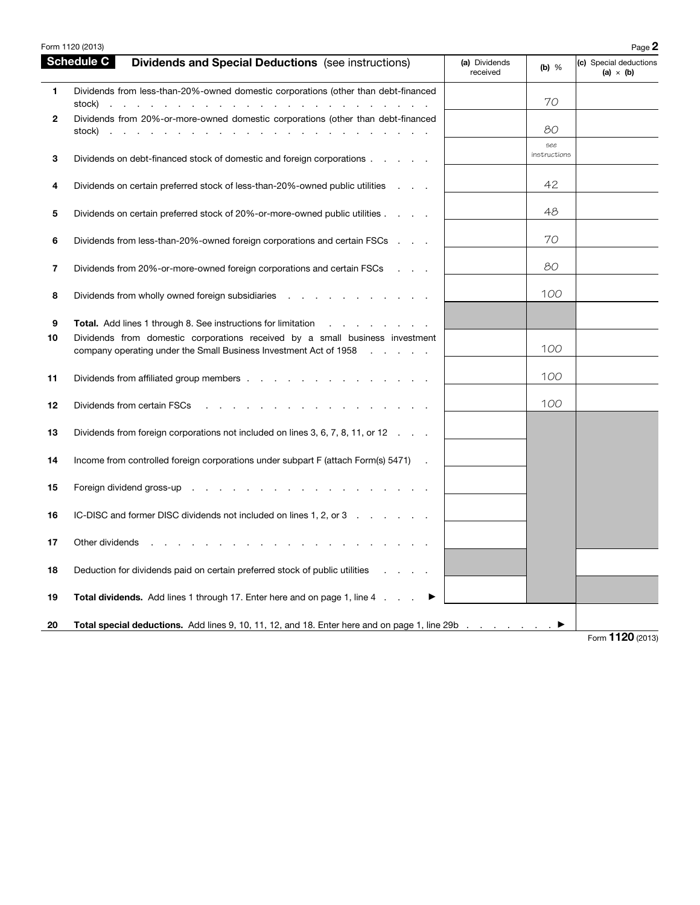|              | Form 1120 (2013)                                                                                                                                                                                                                                                                                                               |                           |                     | Page 2                                     |
|--------------|--------------------------------------------------------------------------------------------------------------------------------------------------------------------------------------------------------------------------------------------------------------------------------------------------------------------------------|---------------------------|---------------------|--------------------------------------------|
|              | <b>Schedule C</b><br><b>Dividends and Special Deductions</b> (see instructions)                                                                                                                                                                                                                                                | (a) Dividends<br>received | (b) $%$             | (c) Special deductions<br>(a) $\times$ (b) |
| 1            | Dividends from less-than-20%-owned domestic corporations (other than debt-financed<br>stock)<br>and the company of the company of the company of the company of the company of the company of the company of the company of the company of the company of the company of the company of the company of the company of the comp |                           | 70                  |                                            |
| $\mathbf{2}$ | Dividends from 20%-or-more-owned domestic corporations (other than debt-financed<br>stock)<br>the contract of the contract of<br>$\sim$<br>the contract of the                                                                                                                                                                 |                           | 80                  |                                            |
| 3            | Dividends on debt-financed stock of domestic and foreign corporations                                                                                                                                                                                                                                                          |                           | see<br>instructions |                                            |
| 4            | Dividends on certain preferred stock of less-than-20%-owned public utilities                                                                                                                                                                                                                                                   |                           | 42                  |                                            |
| 5            | Dividends on certain preferred stock of 20%-or-more-owned public utilities                                                                                                                                                                                                                                                     |                           | 48                  |                                            |
| 6            | Dividends from less-than-20%-owned foreign corporations and certain FSCs                                                                                                                                                                                                                                                       |                           | 70                  |                                            |
| 7            | Dividends from 20%-or-more-owned foreign corporations and certain FSCs                                                                                                                                                                                                                                                         |                           | 80                  |                                            |
| 8            | Dividends from wholly owned foreign subsidiaries                                                                                                                                                                                                                                                                               |                           | 100                 |                                            |
| 9<br>10      | <b>Total.</b> Add lines 1 through 8. See instructions for limitation<br>the company of the company<br>Dividends from domestic corporations received by a small business investment<br>company operating under the Small Business Investment Act of 1958<br>$\sim$                                                              |                           | 100                 |                                            |
| 11           | Dividends from affiliated group members                                                                                                                                                                                                                                                                                        |                           | 100                 |                                            |
| 12           | Dividends from certain FSCs                                                                                                                                                                                                                                                                                                    |                           | 100                 |                                            |
| 13           | Dividends from foreign corporations not included on lines 3, 6, 7, 8, 11, or 12                                                                                                                                                                                                                                                |                           |                     |                                            |
| 14           | Income from controlled foreign corporations under subpart F (attach Form(s) 5471)                                                                                                                                                                                                                                              |                           |                     |                                            |
| 15           | Foreign dividend gross-up                                                                                                                                                                                                                                                                                                      |                           |                     |                                            |
| 16           | IC-DISC and former DISC dividends not included on lines 1, 2, or 3                                                                                                                                                                                                                                                             |                           |                     |                                            |
| 17           | Other dividends                                                                                                                                                                                                                                                                                                                |                           |                     |                                            |
| 18           | Deduction for dividends paid on certain preferred stock of public utilities                                                                                                                                                                                                                                                    |                           |                     |                                            |
| 19           | <b>Total dividends.</b> Add lines 1 through 17. Enter here and on page 1, line 4.                                                                                                                                                                                                                                              |                           |                     |                                            |
| 20           | Total special deductions. Add lines 9, 10, 11, 12, and 18. Enter here and on page 1, line 29b ▶                                                                                                                                                                                                                                |                           |                     |                                            |
|              |                                                                                                                                                                                                                                                                                                                                |                           |                     | $F_{\text{O}}$ 1120 (2013)                 |

Form 1120 (2013)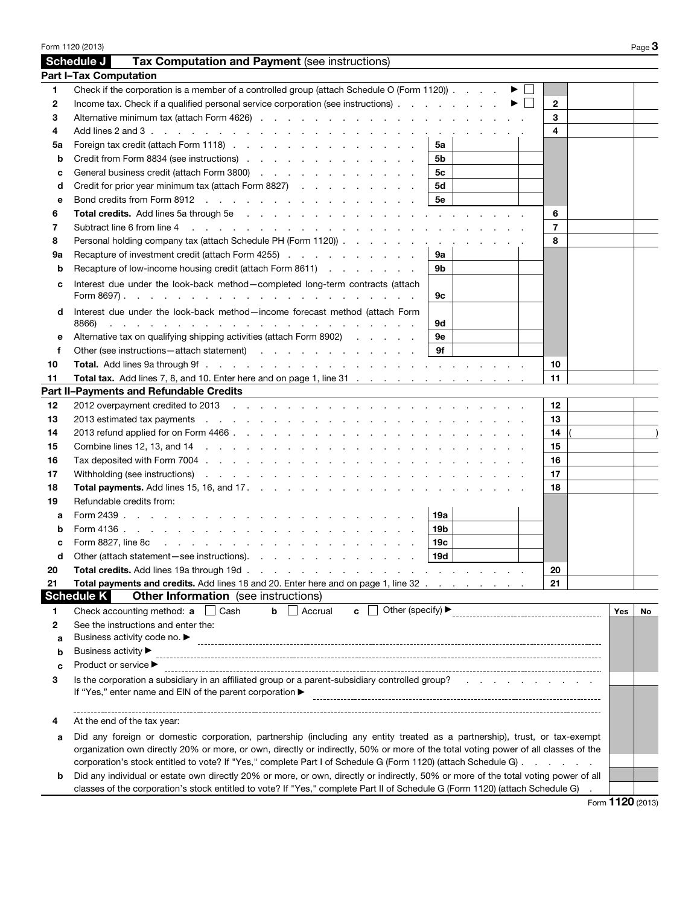|         | Form 1120 (2013)                                                                                                                                                                                                                                                                                                      |     |                                      |              | Page $3$  |
|---------|-----------------------------------------------------------------------------------------------------------------------------------------------------------------------------------------------------------------------------------------------------------------------------------------------------------------------|-----|--------------------------------------|--------------|-----------|
|         | Tax Computation and Payment (see instructions)<br>Schedule J                                                                                                                                                                                                                                                          |     |                                      |              |           |
|         | <b>Part I-Tax Computation</b>                                                                                                                                                                                                                                                                                         |     |                                      |              |           |
| 1       | Check if the corporation is a member of a controlled group (attach Schedule O (Form 1120)).                                                                                                                                                                                                                           |     | $\blacktriangleright$ $\vdash$       |              |           |
| 2       | Income tax. Check if a qualified personal service corporation (see instructions)                                                                                                                                                                                                                                      |     | $\blacktriangleright$ $\mid \; \mid$ | $\mathbf{2}$ |           |
| 3       |                                                                                                                                                                                                                                                                                                                       |     |                                      | 3            |           |
| 4       | Add lines 2 and 3 $\ldots$ $\ldots$ $\ldots$ $\ldots$ $\ldots$ $\ldots$ $\ldots$ $\ldots$ $\ldots$ $\ldots$ $\ldots$ $\ldots$ $\ldots$ $\ldots$                                                                                                                                                                       |     |                                      | 4            |           |
| 5a      | Foreign tax credit (attach Form 1118)                                                                                                                                                                                                                                                                                 | 5a  |                                      |              |           |
| b       | Credit from Form 8834 (see instructions)                                                                                                                                                                                                                                                                              | 5b  |                                      |              |           |
| с       | General business credit (attach Form 3800)                                                                                                                                                                                                                                                                            | 5c  |                                      |              |           |
| d       | Credit for prior year minimum tax (attach Form 8827)                                                                                                                                                                                                                                                                  | 5d  |                                      |              |           |
| е       | Bond credits from Form 8912                                                                                                                                                                                                                                                                                           | 5e  |                                      |              |           |
| 6       |                                                                                                                                                                                                                                                                                                                       |     |                                      | 6            |           |
| 7       | Subtract line 6 from line 4<br>and the contract of the contract of the contract of the contract of the contract of                                                                                                                                                                                                    |     |                                      | 7            |           |
| 8       | Personal holding company tax (attach Schedule PH (Form 1120))                                                                                                                                                                                                                                                         |     |                                      | 8            |           |
| 9а      | Recapture of investment credit (attach Form 4255)                                                                                                                                                                                                                                                                     | 9а  |                                      |              |           |
| b       | Recapture of low-income housing credit (attach Form 8611)                                                                                                                                                                                                                                                             | 9b  |                                      |              |           |
|         |                                                                                                                                                                                                                                                                                                                       |     |                                      |              |           |
| c       | Interest due under the look-back method-completed long-term contracts (attach                                                                                                                                                                                                                                         | 9c  |                                      |              |           |
| d       | Interest due under the look-back method-income forecast method (attach Form<br>8866)<br>a construction of the construction of the construction of the construction of the construction of the construction of the construction of the construction of the construction of the construction of the construction of the | 9d  |                                      |              |           |
| е       | Alternative tax on qualifying shipping activities (attach Form 8902)                                                                                                                                                                                                                                                  | 9е  |                                      |              |           |
| f       | Other (see instructions – attach statement) (and a set of the set of the set of the set of the set of the set of the set of the set of the set of the set of the set of the set of the set of the set of the set of the set of                                                                                        | 9f  |                                      |              |           |
| 10      |                                                                                                                                                                                                                                                                                                                       |     |                                      | 10           |           |
| 11      | Total tax. Add lines 7, 8, and 10. Enter here and on page 1, line 31                                                                                                                                                                                                                                                  |     |                                      | 11           |           |
|         | Part II-Payments and Refundable Credits                                                                                                                                                                                                                                                                               |     |                                      |              |           |
| 12      |                                                                                                                                                                                                                                                                                                                       |     |                                      | 12           |           |
| 13      | 2013 estimated tax payments external example and contact the contract of the contract of the contract of the contract of the contract of the contract of the contract of the contract of the contract of the contract of the c                                                                                        |     |                                      | 13           |           |
| 14      |                                                                                                                                                                                                                                                                                                                       |     |                                      | 14           |           |
| 15      | Combine lines 12, 13, and 14 (e.g. ) and 14 (e.g. ) and in the compact of the compact of the compact of the compact of the compact of the compact of the compact of the compact of the compact of the compact of the compact o                                                                                        |     |                                      | 15           |           |
| 16      |                                                                                                                                                                                                                                                                                                                       |     |                                      | 16           |           |
| 17      | Withholding (see instructions) enterstanding (see instructions) and the contract of the contract of the contract of the contract of the contract of the contract of the contract of the contract of the contract of the contra                                                                                        |     |                                      | 17           |           |
| 18      |                                                                                                                                                                                                                                                                                                                       |     |                                      | 18           |           |
| 19      | Refundable credits from:                                                                                                                                                                                                                                                                                              |     |                                      |              |           |
| а       |                                                                                                                                                                                                                                                                                                                       | 19a |                                      |              |           |
| b       |                                                                                                                                                                                                                                                                                                                       | 19b |                                      |              |           |
| c       |                                                                                                                                                                                                                                                                                                                       | 19c |                                      |              |           |
|         | Other (attach statement - see instructions).                                                                                                                                                                                                                                                                          | 19d |                                      |              |           |
| d<br>20 | Total credits. Add lines 19a through 19d.<br>$\mathbf{r}$ , $\mathbf{r}$ , $\mathbf{r}$ , $\mathbf{r}$ , $\mathbf{r}$ , $\mathbf{r}$                                                                                                                                                                                  |     |                                      | 20           |           |
| 21      | Total payments and credits. Add lines 18 and 20. Enter here and on page 1, line 32                                                                                                                                                                                                                                    |     |                                      | 21           |           |
|         | <b>Other Information</b> (see instructions)<br><b>Schedule K</b>                                                                                                                                                                                                                                                      |     |                                      |              |           |
|         | Other (specify) ▶<br>Check accounting method: a<br>$\Box$ Cash<br>Accrual<br>b<br>c                                                                                                                                                                                                                                   |     |                                      |              |           |
| 1<br>2  | See the instructions and enter the:                                                                                                                                                                                                                                                                                   |     |                                      |              | Yes<br>No |
|         | Business activity code no. ▶                                                                                                                                                                                                                                                                                          |     |                                      |              |           |
| a       | Business activity ▶                                                                                                                                                                                                                                                                                                   |     |                                      |              |           |
| b       | Product or service ▶                                                                                                                                                                                                                                                                                                  |     |                                      |              |           |
| c       | Is the corporation a subsidiary in an affiliated group or a parent-subsidiary controlled group?                                                                                                                                                                                                                       |     |                                      |              |           |
| 3       | If "Yes," enter name and EIN of the parent corporation ▶                                                                                                                                                                                                                                                              |     |                                      |              |           |
|         | At the end of the tax year:                                                                                                                                                                                                                                                                                           |     |                                      |              |           |
| а       | Did any foreign or domestic corporation, partnership (including any entity treated as a partnership), trust, or tax-exempt                                                                                                                                                                                            |     |                                      |              |           |
|         | organization own directly 20% or more, or own, directly or indirectly, 50% or more of the total voting power of all classes of the                                                                                                                                                                                    |     |                                      |              |           |
|         | corporation's stock entitled to vote? If "Yes," complete Part I of Schedule G (Form 1120) (attach Schedule G)                                                                                                                                                                                                         |     |                                      |              |           |
| b       | Did any individual or estate own directly 20% or more, or own, directly or indirectly, 50% or more of the total voting power of all                                                                                                                                                                                   |     |                                      |              |           |
|         | classes of the corporation's stock entitled to vote? If "Yes," complete Part II of Schedule G (Form 1120) (attach Schedule G)                                                                                                                                                                                         |     |                                      |              |           |
|         |                                                                                                                                                                                                                                                                                                                       |     |                                      |              |           |

Form 1120 (2013)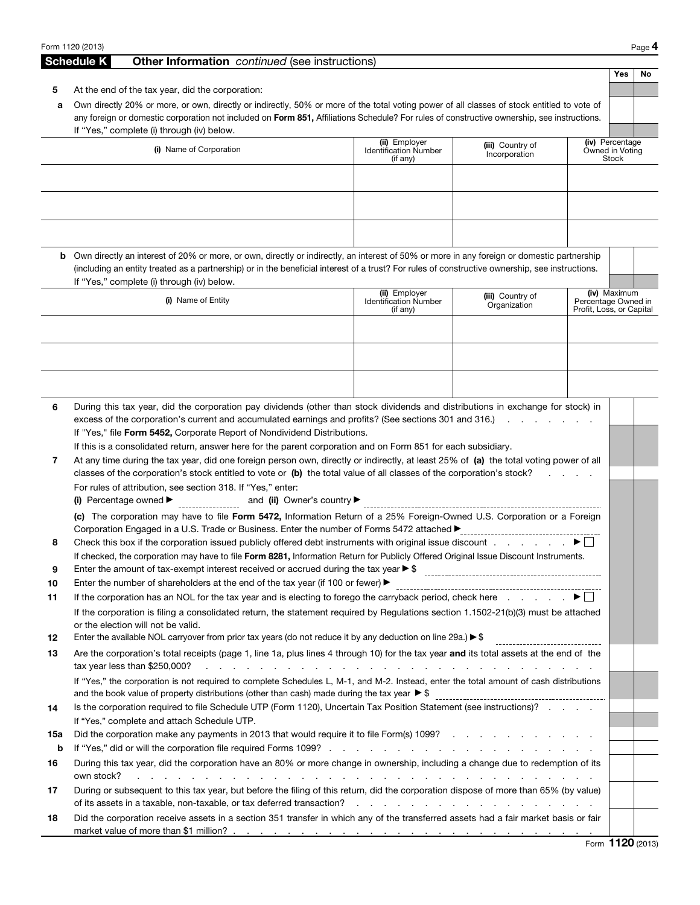|     | Form 1120 (2013)                                                                                                                                                                                                                                      |                                                |                                                                                                                 |                                                 |                 | Page 4           |  |  |
|-----|-------------------------------------------------------------------------------------------------------------------------------------------------------------------------------------------------------------------------------------------------------|------------------------------------------------|-----------------------------------------------------------------------------------------------------------------|-------------------------------------------------|-----------------|------------------|--|--|
|     | <b>Schedule K</b><br><b>Other Information</b> continued (see instructions)                                                                                                                                                                            |                                                |                                                                                                                 |                                                 |                 |                  |  |  |
|     |                                                                                                                                                                                                                                                       |                                                |                                                                                                                 |                                                 | Yes             | No               |  |  |
| 5   | At the end of the tax year, did the corporation:                                                                                                                                                                                                      |                                                |                                                                                                                 |                                                 |                 |                  |  |  |
| a   | Own directly 20% or more, or own, directly or indirectly, 50% or more of the total voting power of all classes of stock entitled to vote of                                                                                                           |                                                |                                                                                                                 |                                                 |                 |                  |  |  |
|     | any foreign or domestic corporation not included on Form 851, Affiliations Schedule? For rules of constructive ownership, see instructions.                                                                                                           |                                                |                                                                                                                 |                                                 |                 |                  |  |  |
|     | If "Yes," complete (i) through (iv) below.                                                                                                                                                                                                            | (ii) Employer                                  | (iii) Country of                                                                                                |                                                 | (iv) Percentage |                  |  |  |
|     | (i) Name of Corporation                                                                                                                                                                                                                               | <b>Identification Number</b><br>(if any)       | Incorporation                                                                                                   | Owned in Voting                                 | Stock           |                  |  |  |
|     |                                                                                                                                                                                                                                                       |                                                |                                                                                                                 |                                                 |                 |                  |  |  |
|     |                                                                                                                                                                                                                                                       |                                                |                                                                                                                 |                                                 |                 |                  |  |  |
|     |                                                                                                                                                                                                                                                       |                                                |                                                                                                                 |                                                 |                 |                  |  |  |
|     |                                                                                                                                                                                                                                                       |                                                |                                                                                                                 |                                                 |                 |                  |  |  |
|     |                                                                                                                                                                                                                                                       |                                                |                                                                                                                 |                                                 |                 |                  |  |  |
|     |                                                                                                                                                                                                                                                       |                                                |                                                                                                                 |                                                 |                 |                  |  |  |
|     | <b>b</b> Own directly an interest of 20% or more, or own, directly or indirectly, an interest of 50% or more in any foreign or domestic partnership                                                                                                   |                                                |                                                                                                                 |                                                 |                 |                  |  |  |
|     | (including an entity treated as a partnership) or in the beneficial interest of a trust? For rules of constructive ownership, see instructions.<br>If "Yes," complete (i) through (iv) below.                                                         |                                                |                                                                                                                 |                                                 |                 |                  |  |  |
|     |                                                                                                                                                                                                                                                       | (ii) Employer                                  | (iii) Country of                                                                                                |                                                 | (iv) Maximum    |                  |  |  |
|     | (i) Name of Entity                                                                                                                                                                                                                                    | <b>Identification Number</b><br>$($ if any $)$ | Organization                                                                                                    | Percentage Owned in<br>Profit, Loss, or Capital |                 |                  |  |  |
|     |                                                                                                                                                                                                                                                       |                                                |                                                                                                                 |                                                 |                 |                  |  |  |
|     |                                                                                                                                                                                                                                                       |                                                |                                                                                                                 |                                                 |                 |                  |  |  |
|     |                                                                                                                                                                                                                                                       |                                                |                                                                                                                 |                                                 |                 |                  |  |  |
|     |                                                                                                                                                                                                                                                       |                                                |                                                                                                                 |                                                 |                 |                  |  |  |
|     |                                                                                                                                                                                                                                                       |                                                |                                                                                                                 |                                                 |                 |                  |  |  |
|     |                                                                                                                                                                                                                                                       |                                                |                                                                                                                 |                                                 |                 |                  |  |  |
| 6   | During this tax year, did the corporation pay dividends (other than stock dividends and distributions in exchange for stock) in<br>excess of the corporation's current and accumulated earnings and profits? (See sections 301 and 316.)              |                                                |                                                                                                                 |                                                 |                 |                  |  |  |
|     | If "Yes," file Form 5452, Corporate Report of Nondividend Distributions.                                                                                                                                                                              |                                                |                                                                                                                 |                                                 |                 |                  |  |  |
|     | If this is a consolidated return, answer here for the parent corporation and on Form 851 for each subsidiary.                                                                                                                                         |                                                |                                                                                                                 |                                                 |                 |                  |  |  |
| 7   | At any time during the tax year, did one foreign person own, directly or indirectly, at least 25% of (a) the total voting power of all                                                                                                                |                                                |                                                                                                                 |                                                 |                 |                  |  |  |
|     | classes of the corporation's stock entitled to vote or (b) the total value of all classes of the corporation's stock?<br>and the control of the con-                                                                                                  |                                                |                                                                                                                 |                                                 |                 |                  |  |  |
|     | For rules of attribution, see section 318. If "Yes," enter:                                                                                                                                                                                           |                                                |                                                                                                                 |                                                 |                 |                  |  |  |
|     | (i) Percentage owned $\blacktriangleright$                                                                                                                                                                                                            |                                                |                                                                                                                 |                                                 |                 |                  |  |  |
|     | (c) The corporation may have to file Form 5472, Information Return of a 25% Foreign-Owned U.S. Corporation or a Foreign                                                                                                                               |                                                |                                                                                                                 |                                                 |                 |                  |  |  |
|     | Corporation Engaged in a U.S. Trade or Business. Enter the number of Forms 5472 attached ▶                                                                                                                                                            |                                                | -------------------------------                                                                                 |                                                 |                 |                  |  |  |
| 8   |                                                                                                                                                                                                                                                       |                                                |                                                                                                                 |                                                 |                 |                  |  |  |
| 9   | If checked, the corporation may have to file Form 8281, Information Return for Publicly Offered Original Issue Discount Instruments.<br>Enter the amount of tax-exempt interest received or accrued during the tax year $\blacktriangleright$ \$      |                                                |                                                                                                                 |                                                 |                 |                  |  |  |
| 10  | Enter the number of shareholders at the end of the tax year (if 100 or fewer) $\blacktriangleright$                                                                                                                                                   |                                                |                                                                                                                 |                                                 |                 |                  |  |  |
| 11  | If the corporation has an NOL for the tax year and is electing to forego the carryback period, check here $\ldots$ $\ldots$                                                                                                                           |                                                |                                                                                                                 |                                                 |                 |                  |  |  |
|     | If the corporation is filing a consolidated return, the statement required by Regulations section 1.1502-21(b)(3) must be attached                                                                                                                    |                                                |                                                                                                                 |                                                 |                 |                  |  |  |
|     | or the election will not be valid.                                                                                                                                                                                                                    |                                                |                                                                                                                 |                                                 |                 |                  |  |  |
| 12  | Enter the available NOL carryover from prior tax years (do not reduce it by any deduction on line 29a.) $\triangleright$ \$                                                                                                                           |                                                |                                                                                                                 |                                                 |                 |                  |  |  |
| 13  | Are the corporation's total receipts (page 1, line 1a, plus lines 4 through 10) for the tax year and its total assets at the end of the                                                                                                               |                                                |                                                                                                                 |                                                 |                 |                  |  |  |
|     | tax year less than \$250,000?<br>the contract of the contract of the contract of the contract of the contract of the contract of the contract of                                                                                                      |                                                |                                                                                                                 |                                                 |                 |                  |  |  |
|     | If "Yes," the corporation is not required to complete Schedules L, M-1, and M-2. Instead, enter the total amount of cash distributions<br>and the book value of property distributions (other than cash) made during the tax year $\triangleright$ \$ |                                                |                                                                                                                 |                                                 |                 |                  |  |  |
| 14  | Is the corporation required to file Schedule UTP (Form 1120), Uncertain Tax Position Statement (see instructions)?                                                                                                                                    |                                                |                                                                                                                 |                                                 |                 |                  |  |  |
|     | If "Yes," complete and attach Schedule UTP.                                                                                                                                                                                                           |                                                |                                                                                                                 |                                                 |                 |                  |  |  |
| 15a | Did the corporation make any payments in 2013 that would require it to file Form(s) 1099?                                                                                                                                                             |                                                |                                                                                                                 |                                                 |                 |                  |  |  |
| b   |                                                                                                                                                                                                                                                       |                                                |                                                                                                                 |                                                 |                 |                  |  |  |
| 16  | During this tax year, did the corporation have an 80% or more change in ownership, including a change due to redemption of its<br>own stock?<br>$\mathbf{r}$ , $\mathbf{r}$ , $\mathbf{r}$ , $\mathbf{r}$ , $\mathbf{r}$                              |                                                | the contract of the contract of the contract of the contract of the contract of the contract of the contract of |                                                 |                 |                  |  |  |
| 17  | During or subsequent to this tax year, but before the filing of this return, did the corporation dispose of more than 65% (by value)                                                                                                                  |                                                |                                                                                                                 |                                                 |                 |                  |  |  |
|     | of its assets in a taxable, non-taxable, or tax deferred transaction?                                                                                                                                                                                 |                                                |                                                                                                                 |                                                 |                 |                  |  |  |
| 18  | Did the corporation receive assets in a section 351 transfer in which any of the transferred assets had a fair market basis or fair                                                                                                                   |                                                |                                                                                                                 |                                                 |                 |                  |  |  |
|     |                                                                                                                                                                                                                                                       |                                                |                                                                                                                 |                                                 |                 |                  |  |  |
|     |                                                                                                                                                                                                                                                       |                                                |                                                                                                                 |                                                 |                 | Form 1120 (2013) |  |  |

Form 1120 (2013)